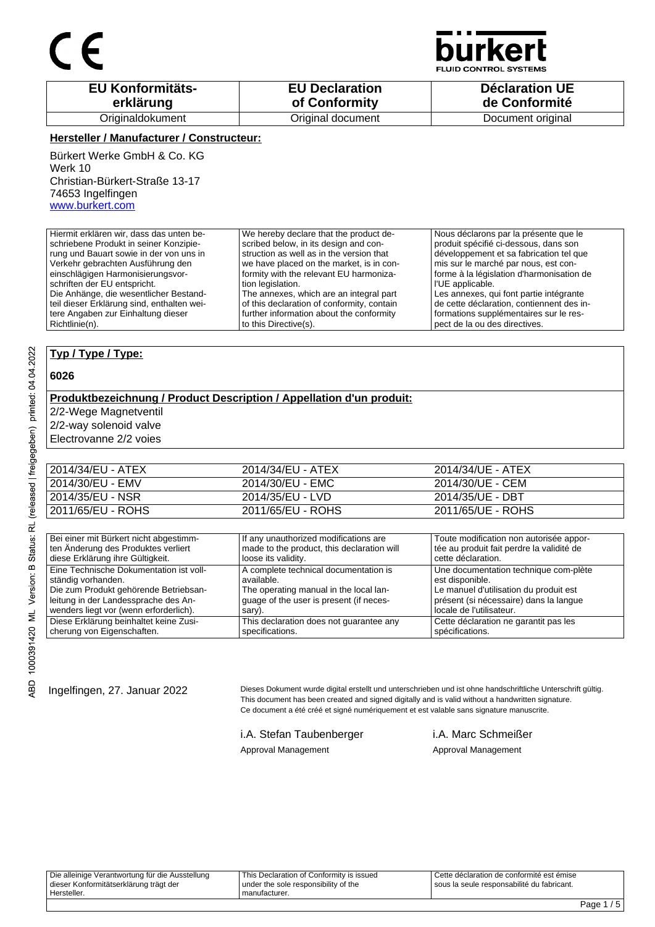

**JID CONTROL SYSTEMS** 

| <b>EU Konformitäts-</b> | <b>EU Declaration</b> | <b>Déclaration UE</b> |
|-------------------------|-----------------------|-----------------------|
| erklärung               | of Conformity         | de Conformité         |
| Originaldokument        | Original document     | Document original     |

#### **Hersteller / Manufacturer / Constructeur:**

Bürkert Werke GmbH & Co. KG Werk 10 Christian-Bürkert-Straße 13-17 74653 Ingelfingen www.burkert.com

Hiermit erklären wir, dass das unten beschriebene Produkt in seiner Konzipierung und Bauart sowie in der von uns in Verkehr gebrachten Ausführung den einschlägigen Harmonisierungsvorschriften der EU entspricht. Die Anhänge, die wesentlicher Bestandteil dieser Erklärung sind, enthalten weitere Angaben zur Einhaltung dieser Richtlinie(n). We hereby declare that the product described below, in its design and construction as well as in the version that we have placed on the market, is in conformity with the relevant EU harmonization legislation. The annexes, which are an integral part of this declaration of conformity, contain further information about the conformity to this Directive(s). Nous déclarons par la présente que le produit spécifié ci-dessous, dans son développement et sa fabrication tel que mis sur le marché par nous, est conforme à la législation d'harmonisation de l'UE applicable. Les annexes, qui font partie intégrante de cette déclaration, contiennent des informations supplémentaires sur le respect de la ou des directives.

#### **Typ / Type / Type:**

#### **6026**

RBD 1000391420 ML Version: B Status: RL (released | freigegeben) printed: 04.04.2022

### **Produktbezeichnung / Product Description / Appellation d'un produit:**

2/2-Wege Magnetventil

2/2-way solenoid valve

Electrovanne 2/2 voies

| 2014/34/EU - ATEX | 2014/34/EU - ATEX | 2014/34/UE - ATEX |
|-------------------|-------------------|-------------------|
| 2014/30/EU - EMV  | 2014/30/EU - EMC  | 2014/30/UE - CEM  |
| 2014/35/EU - NSR  | 2014/35/EU - LVD  | 2014/35/UE - DBT  |
| 2011/65/EU - ROHS | 2011/65/EU - ROHS | 2011/65/UE - ROHS |

| Bei einer mit Bürkert nicht abgestimm-  | If any unauthorized modifications are      | Toute modification non autorisée appor-   |
|-----------------------------------------|--------------------------------------------|-------------------------------------------|
| ten Änderung des Produktes verliert     | made to the product, this declaration will | tée au produit fait perdre la validité de |
| diese Erklärung ihre Gültigkeit.        | loose its validity.                        | cette déclaration.                        |
| Eine Technische Dokumentation ist voll- | A complete technical documentation is      | Une documentation technique com-plète     |
| ständig vorhanden.                      | available.                                 | est disponible.                           |
| Die zum Produkt gehörende Betriebsan-   | The operating manual in the local lan-     | Le manuel d'utilisation du produit est    |
| leitung in der Landessprache des An-    | quage of the user is present (if neces-    | présent (si nécessaire) dans la langue    |
| wenders liegt vor (wenn erforderlich).  | sary).                                     | locale de l'utilisateur.                  |
| Diese Erklärung beinhaltet keine Zusi-  | This declaration does not guarantee any    | Cette déclaration ne garantit pas les     |
| cherung von Eigenschaften.              | specifications.                            | spécifications.                           |

Ingelfingen, 27. Januar 2022 Dieses Dokument wurde digital erstellt und unterschrieben und ist ohne handschriftliche Unterschrift gültig. This document has been created and signed digitally and is valid without a handwritten signature. Ce document a été créé et signé numériquement et est valable sans signature manuscrite.

> i.A. Stefan Taubenberger i.A. Marc Schmeißer Approval Management Approval Management

Die alleinige Verantwortung für die Ausstellung dieser Konformitätserklärung trägt der Hersteller. This Declaration of Conformity is issued under the sole responsibility of the manufacturer. Cette déclaration de conformité est émise sous la seule responsabilité du fabricant.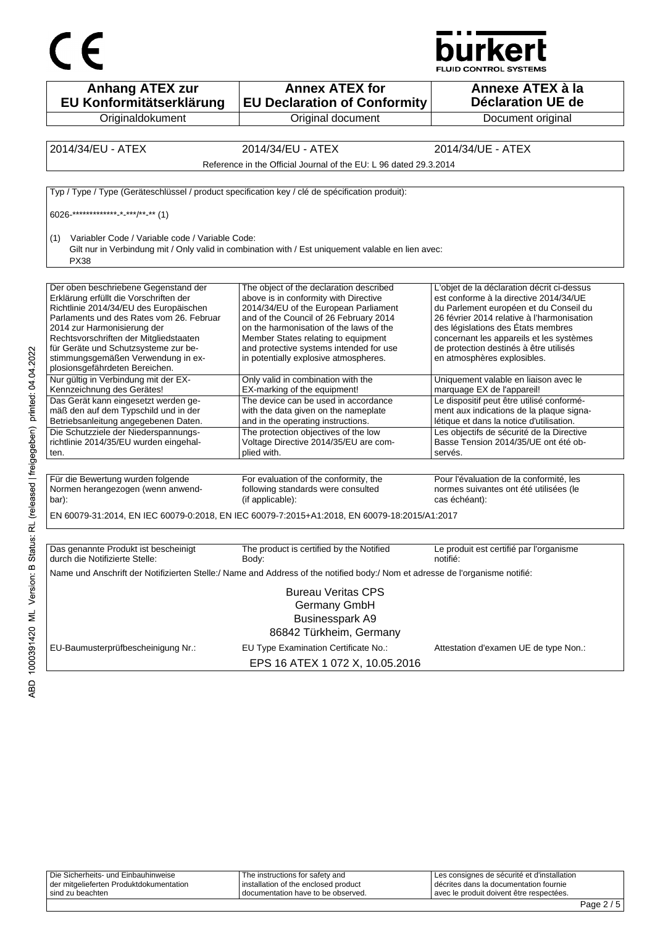



**Anhang ATEX zur EU Konformitätserklärung Originaldokument Annex ATEX for EU Declaration of Conformity** Original document **Annexe ATEX à la Déclaration UE de**  Document original 2014/34/EU - ATEX 2014/34/EU - ATEX 2014/34/UE - ATEX Reference in the Official Journal of the EU: L 96 dated 29.3.2014 Typ / Type / Type (Geräteschlüssel / product specification key / clé de spécification produit): 6026-\*\*\*\*\*\*\*\*\*\*\*\*\*-\*-\*\*\*/\*\*-\*\* (1) (1) Variabler Code / Variable code / Variable Code: Gilt nur in Verbindung mit / Only valid in combination with / Est uniquement valable en lien avec: PX38 Der oben beschriebene Gegenstand der Erklärung erfüllt die Vorschriften der Richtlinie 2014/34/EU des Europäischen Parlaments und des Rates vom 26. Februar 2014 zur Harmonisierung der Rechtsvorschriften der Mitgliedstaaten für Geräte und Schutzsysteme zur bestimmungsgemäßen Verwendung in explosionsgefährdeten Bereichen. The object of the declaration described above is in conformity with Directive 2014/34/EU of the European Parliament and of the Council of 26 February 2014 on the harmonisation of the laws of the Member States relating to equipment and protective systems intended for use in potentially explosive atmospheres. L'objet de la déclaration décrit ci-dessus est conforme à la directive 2014/34/UE du Parlement européen et du Conseil du 26 février 2014 relative à l'harmonisation des législations des États membres concernant les appareils et les systèmes de protection destinés à être utilisés en atmosphères explosibles. Nur gültig in Verbindung mit der EX-Kennzeichnung des Gerätes! Only valid in combination with the EX-marking of the equipment! Uniquement valable en liaison avec le marquage EX de l'appareil! Das Gerät kann eingesetzt werden gemäß den auf dem Typschild und in der Betriebsanleitung angegebenen Daten. The device can be used in accordance with the data given on the nameplate and in the operating instructions. Le dispositif peut être utilisé conformément aux indications de la plaque signalétique et dans la notice d'utilisation. Die Schutzziele der Niederspannungsrichtlinie 2014/35/EU wurden eingehalten. The protection objectives of the low Voltage Directive 2014/35/EU are complied with. Les objectifs de sécurité de la Directive Basse Tension 2014/35/UE ont été observés. Für die Bewertung wurden folgende Normen herangezogen (wenn anwendbar): For evaluation of the conformity, the following standards were consulted (if applicable): Pour l'évaluation de la conformité, les normes suivantes ont été utilisées (le cas échéant): EN 60079-31:2014, EN IEC 60079-0:2018, EN IEC 60079-7:2015+A1:2018, EN 60079-18:2015/A1:2017 Das genannte Produkt ist bescheinigt durch die Notifizierte Stelle: The product is certified by the Notified Body: Le produit est certifié par l'organisme notifié: Name und Anschrift der Notifizierten Stelle:/ Name and Address of the notified body:/ Nom et adresse de l'organisme notifié: Bureau Veritas CPS Germany GmbH Businesspark A9 86842 Türkheim, Germany EU-Baumusterprüfbescheinigung Nr.: EU Type Examination Certificate No.: Attestation d'examen UE de type Non.: EPS 16 ATEX 1 072 X, 10.05.2016

Die Sicherheits- und Einbauhinweise der mitgelieferten Produktdokumentation sind zu beachten The instructions for safety and installation of the enclosed product documentation have to be observed. Les consignes de sécurité et d'installation décrites dans la documentation fournie avec le produit doivent être respectées.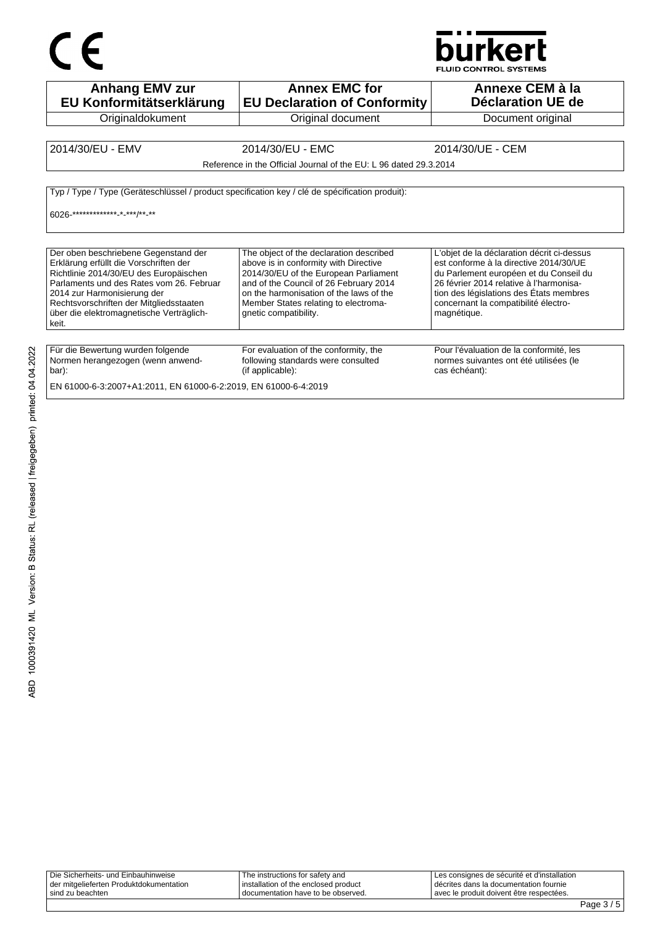## $C \in$



FLUID CONTROL SYSTEMS

| <b>Anhang EMV zur</b><br>EU Konformitätserklärung                                                                                                                                                                                                                                                   | <b>Annex EMC for</b><br><b>EU Declaration of Conformity</b>                                                                                                                                                                                                                     | Annexe CEM à la<br>Déclaration UE de                                                                                                                                                                                                                                        |
|-----------------------------------------------------------------------------------------------------------------------------------------------------------------------------------------------------------------------------------------------------------------------------------------------------|---------------------------------------------------------------------------------------------------------------------------------------------------------------------------------------------------------------------------------------------------------------------------------|-----------------------------------------------------------------------------------------------------------------------------------------------------------------------------------------------------------------------------------------------------------------------------|
| Originaldokument                                                                                                                                                                                                                                                                                    | Original document                                                                                                                                                                                                                                                               | Document original                                                                                                                                                                                                                                                           |
|                                                                                                                                                                                                                                                                                                     |                                                                                                                                                                                                                                                                                 |                                                                                                                                                                                                                                                                             |
| 2014/30/EU - EMV                                                                                                                                                                                                                                                                                    | 2014/30/EU - EMC                                                                                                                                                                                                                                                                | 2014/30/UE - CEM                                                                                                                                                                                                                                                            |
|                                                                                                                                                                                                                                                                                                     | Reference in the Official Journal of the EU: L 96 dated 29.3.2014                                                                                                                                                                                                               |                                                                                                                                                                                                                                                                             |
| Typ / Type / Type (Geräteschlüssel / product specification key / clé de spécification produit):<br>6026-************** *-***/** **                                                                                                                                                                  |                                                                                                                                                                                                                                                                                 |                                                                                                                                                                                                                                                                             |
| Der oben beschriebene Gegenstand der<br>Erklärung erfüllt die Vorschriften der<br>Richtlinie 2014/30/EU des Europäischen<br>Parlaments und des Rates vom 26. Februar<br>2014 zur Harmonisierung der<br>Rechtsvorschriften der Mitgliedsstaaten<br>über die elektromagnetische Verträglich-<br>keit. | The object of the declaration described<br>above is in conformity with Directive<br>2014/30/EU of the European Parliament<br>and of the Council of 26 February 2014<br>on the harmonisation of the laws of the<br>Member States relating to electroma-<br>qnetic compatibility. | L'objet de la déclaration décrit ci-dessus<br>est conforme à la directive 2014/30/UE<br>du Parlement européen et du Conseil du<br>26 février 2014 relative à l'harmonisa-<br>tion des législations des États membres<br>concernant la compatibilité électro-<br>magnétique. |
| Für die Bewertung wurden folgende<br>Normen herangezogen (wenn anwend-<br>bar):<br>EN 61000-6-3:2007+A1:2011, EN 61000-6-2:2019, EN 61000-6-4:2019                                                                                                                                                  | For evaluation of the conformity, the<br>following standards were consulted<br>(if applicable):                                                                                                                                                                                 | Pour l'évaluation de la conformité, les<br>normes suivantes ont été utilisées (le<br>cas échéant):                                                                                                                                                                          |

| Die Sicherheits- und Einbauhinweise     | The instructions for safety and        | I Les consignes de sécurité et d'installation |
|-----------------------------------------|----------------------------------------|-----------------------------------------------|
| der mitgelieferten Produktdokumentation | I installation of the enclosed product | I décrites dans la documentation fournie      |
| sind zu beachten                        | I documentation have to be observed.   | l avec le produit doivent être respectées.    |
|                                         |                                        |                                               |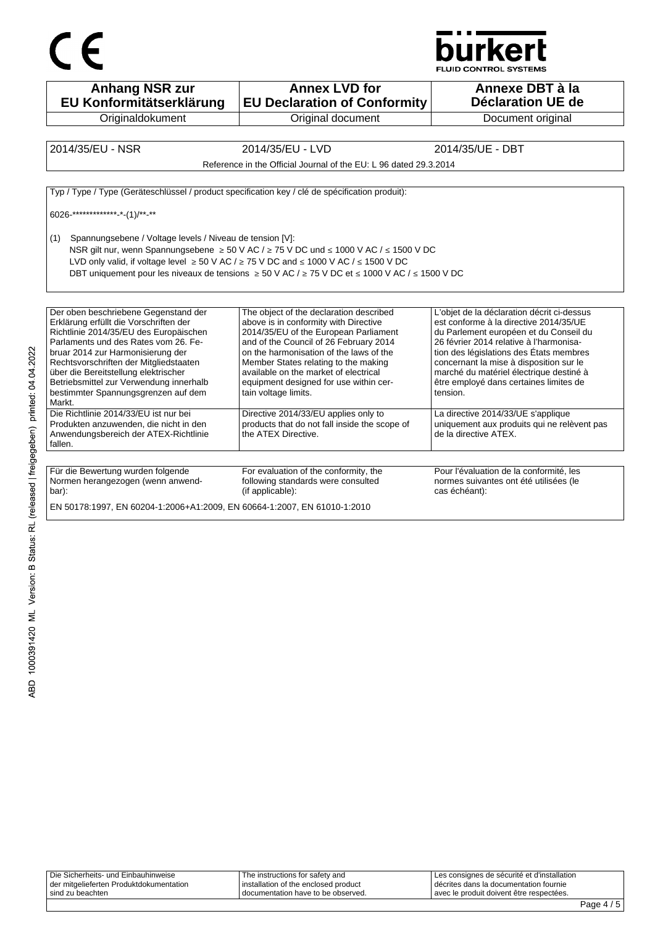



**Anhang NSR zur EU Konformitätserklärung Originaldokument Annex LVD for EU Declaration of Conformity** Original document **Annexe DBT à la Déclaration UE de**  Document original 2014/35/EU - NSR 2014/35/EU - LVD 2014/35/UE - DBT Reference in the Official Journal of the EU: L 96 dated 29.3.2014 Typ / Type / Type (Geräteschlüssel / product specification key / clé de spécification produit): 6026-\*\*\*\*\*\*\*\*\*\*\*\*\*-\*-(1)/\*\*-\*\* (1) Spannungsebene / Voltage levels / Niveau de tension [V]: NSR gilt nur, wenn Spannungsebene ≥ 50 V AC / ≥ 75 V DC und ≤ 1000 V AC / ≤ 1500 V DC LVD only valid, if voltage level  $\geq 50$  V AC /  $\geq 75$  V DC and ≤ 1000 V AC / ≤ 1500 V DC DBT uniquement pour les niveaux de tensions ≥ 50 V AC / ≥ 75 V DC et ≤ 1000 V AC / ≤ 1500 V DC Der oben beschriebene Gegenstand der Erklärung erfüllt die Vorschriften der Richtlinie 2014/35/EU des Europäischen Parlaments und des Rates vom 26. Februar 2014 zur Harmonisierung der Rechtsvorschriften der Mitgliedstaaten über die Bereitstellung elektrischer Betriebsmittel zur Verwendung innerhalb bestimmter Spannungsgrenzen auf dem Markt. The object of the declaration described above is in conformity with Directive 2014/35/EU of the European Parliament and of the Council of 26 February 2014 on the harmonisation of the laws of the Member States relating to the making available on the market of electrical equipment designed for use within certain voltage limits. L'objet de la déclaration décrit ci-dessus est conforme à la directive 2014/35/UE du Parlement européen et du Conseil du 26 février 2014 relative à l'harmonisation des législations des États membres concernant la mise à disposition sur le marché du matériel électrique destiné à être employé dans certaines limites de tension. Die Richtlinie 2014/33/EU ist nur bei Produkten anzuwenden, die nicht in den Anwendungsbereich der ATEX-Richtlinie fallen. Directive 2014/33/EU applies only to products that do not fall inside the scope of the ATEX Directive. La directive 2014/33/UE s'applique uniquement aux produits qui ne relèvent pas de la directive ATEX. Für die Bewertung wurden folgende Normen herangezogen (wenn anwendbar): For evaluation of the conformity, the following standards were consulted (if applicable): Pour l'évaluation de la conformité, les normes suivantes ont été utilisées (le cas échéant): EN 50178:1997, EN 60204-1:2006+A1:2009, EN 60664-1:2007, EN 61010-1:2010

| Die Sicherheits- und Einbauhinweise     | The instructions for safety and      | Les consignes de sécurité et d'installation |
|-----------------------------------------|--------------------------------------|---------------------------------------------|
| der mitgelieferten Produktdokumentation | installation of the enclosed product | décrites dans la documentation fournie      |
| I sind zu beachten                      | I documentation have to be observed. | l avec le produit doivent être respectées.  |
|                                         |                                      |                                             |